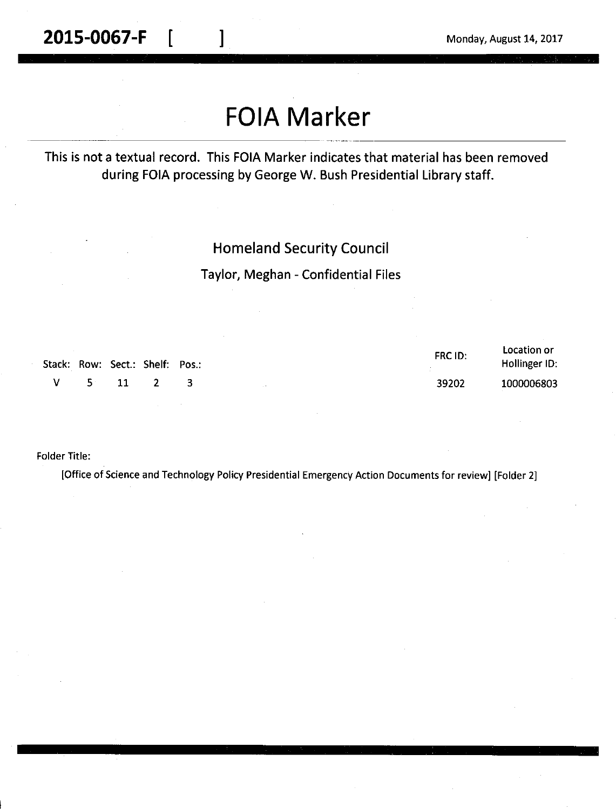#### **2015-0067-F**  $\begin{bmatrix} 1 & 1 \end{bmatrix}$  Monday, August 14, 2017

# **FOIA Marker**

This is not a textual record. This FOIA Marker indicates that material has been removed during FOIA processing by George W. Bush Presidential Library staff.

#### Homeland Security Council

Taylor, Meghan - Confidential Files

|  | Stack: Row: Sect.: Shelf: Pos.: | FRC ID: | Location or<br>Hollinger ID: |
|--|---------------------------------|---------|------------------------------|
|  | V 5 11 2 3                      | 39202   | 1000006803                   |

Folder Title:

[Office of Science and Technology Policy Presidential Emergency Action Documents for review] [Folder 2]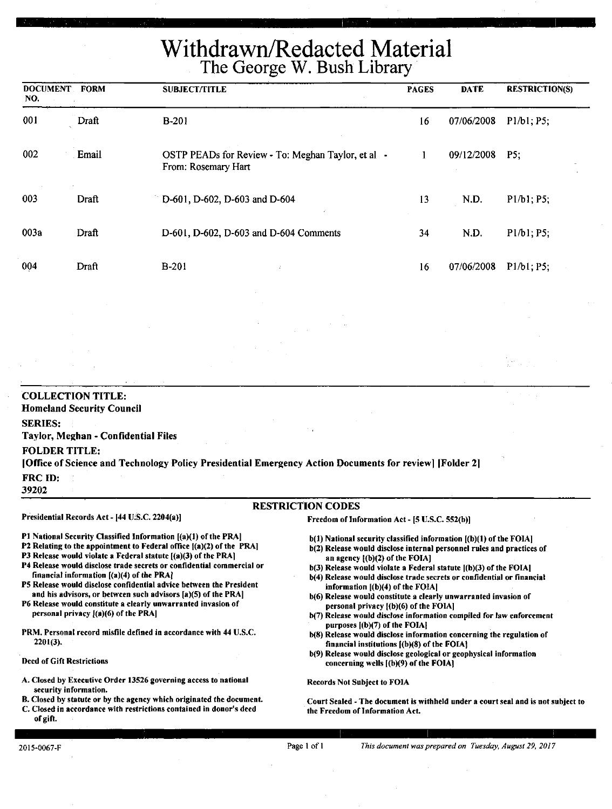## Withdrawn/Redacted Material The George W. Bush Library

| <b>DOCUMENT FORM</b><br>NO.            |                                                              | <b>SUBJECT/TITLE</b>                                                                                                                                                                                                                                                           |                                                                                                                                                                                   | <b>PAGES</b> | <b>DATE</b> | <b>RESTRICTION(S)</b> |
|----------------------------------------|--------------------------------------------------------------|--------------------------------------------------------------------------------------------------------------------------------------------------------------------------------------------------------------------------------------------------------------------------------|-----------------------------------------------------------------------------------------------------------------------------------------------------------------------------------|--------------|-------------|-----------------------|
| 001                                    | Draft                                                        | <b>B-201</b>                                                                                                                                                                                                                                                                   |                                                                                                                                                                                   | 16           | 07/06/2008  | P1/b1; P5;            |
| 002                                    | Email                                                        | OSTP PEADs for Review - To: Meghan Taylor, et al -<br>From: Rosemary Hart                                                                                                                                                                                                      |                                                                                                                                                                                   | 1            | 09/12/2008  | P5:                   |
| 003                                    | Draft                                                        | D-601, D-602, D-603 and D-604                                                                                                                                                                                                                                                  |                                                                                                                                                                                   | 13           | N.D.        | P1/b1; P5;            |
| 003a                                   | Draft                                                        | D-601, D-602, D-603 and D-604 Comments                                                                                                                                                                                                                                         |                                                                                                                                                                                   | 34           | N.D.        | P1/b1; P5;            |
| 004                                    | Draft                                                        | <b>B-201</b>                                                                                                                                                                                                                                                                   |                                                                                                                                                                                   | 16           | 07/06/2008  | P1/b1; P5;            |
|                                        |                                                              |                                                                                                                                                                                                                                                                                |                                                                                                                                                                                   |              |             |                       |
|                                        |                                                              |                                                                                                                                                                                                                                                                                |                                                                                                                                                                                   |              |             |                       |
|                                        | <b>COLLECTION TITLE:</b><br><b>Homeland Security Council</b> |                                                                                                                                                                                                                                                                                |                                                                                                                                                                                   |              |             |                       |
| <b>SERIES:</b><br><b>FOLDER TITLE:</b> | Taylor, Meghan - Confidential Files                          | [Office of Science and Technology Policy Presidential Emergency Action Documents for review] [Folder 2]                                                                                                                                                                        |                                                                                                                                                                                   |              |             |                       |
| FRC ID:<br>39202                       |                                                              |                                                                                                                                                                                                                                                                                |                                                                                                                                                                                   |              |             |                       |
|                                        |                                                              |                                                                                                                                                                                                                                                                                | <b>RESTRICTION CODES</b>                                                                                                                                                          |              |             |                       |
|                                        | Presidential Records Act - [44 U.S.C. 2204(a)]               |                                                                                                                                                                                                                                                                                | Freedom of Information Act - [5 U.S.C. 552(b)]                                                                                                                                    |              |             |                       |
|                                        |                                                              | P1 National Security Classified Information [(a)(1) of the PRA]<br>P2 Relating to the appointment to Federal office [(a)(2) of the PRA]<br>P3 Release would violate a Federal statute [(a)(3) of the PRA]<br>Dd Dalaana waxaa dhadaan soo dagaan ah ah ah ah dagalaha waxay ah | $b(1)$ National security classified information $(a)(1)$ of the FOIA<br>b(2) Release would disclose internal personnel rules and practices of<br>an agency $[(b)(2)$ of the FOIA] |              |             |                       |

- ase would disclose trade secrets or confidential commercial or financial information [(a)(4) of the PRAJ
- PS Release would disclose confidential advice between the President and his advisors, or between such advisors [a)(S) of the PRA)
- P6 Release would constitute a clearly unwarranted invasion of personal privacy  $[(a)(6)$  of the PRA]
- PRM. Personal record misfile defined in accordance with 44 U.S.C. 2201(3).
- Deed of Gift Restrictions
- A. Closed by Executive Order 13526 governing access to national security information.
- B. Closed by statute or by the agency which originated the document.
- C. Closed in accordance with restrictions contained in donor's deed of gift.
- $b(3)$  Release would violate a Federal statute  $[(b)(3)$  of the FOIA]
- b(4) Release would disclose trade secrets or confidential or financial information **((b)(4)** of the **FOIAI**
- b(6) Release would constitute a clearly unwarranted invasion of personal privacy [(b)(6) of the FOIA]
- b(7) Release would disclose information compiled for law enforcement purposes ((b)(7) of the FOIAI
- b(8) Release would disclose information concerning the regulation of financial institutions  $[$ (b) $(8)$  of the FOIA)
- b(9) Release would disclose geological or geophysical information concerning wells ((b)(9) of the FOIAJ

Records Not Subject to FOIA

Court Sealed - The document is withheld under a court seal and is not subject to the Freedom of Information Act.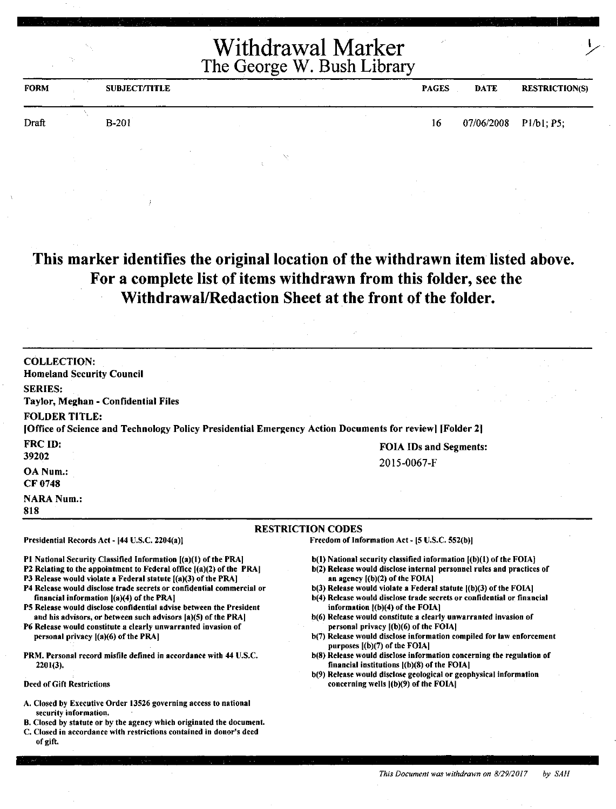| <b>FORM</b> | <b>SUBJECT/TITLE</b> | <b>PAGES</b> | <b>DATE</b>             | <b>RESTRICTION(S)</b> |
|-------------|----------------------|--------------|-------------------------|-----------------------|
| Draft       | $B-201$              | 16           | $07/06/2008$ P1/b1; P5; |                       |
|             |                      |              |                         |                       |

#### **This marker identifies the original location of the withdrawn item listed above. For a complete list of items withdrawn from this folder, see the Withdrawal/Redaction Sheet at the front of the folder.**

| <b>COLLECTION:</b><br><b>Homeland Security Council</b><br><b>SERIES:</b><br>Taylor, Meghan - Confidential Files<br><b>FOLDER TITLE:</b><br>[Office of Science and Technology Policy Presidential Emergency Action Documents for review] [Folder 2]                                                                                                                                                                                                                                                                                                                                                                                                                                                                                                                                                                                                                                                                                                              |                                                                                                                                                                                                                                                                                                                                                                                                                                                                                                                                                                                                                                                                                                                                                                                                                                   |
|-----------------------------------------------------------------------------------------------------------------------------------------------------------------------------------------------------------------------------------------------------------------------------------------------------------------------------------------------------------------------------------------------------------------------------------------------------------------------------------------------------------------------------------------------------------------------------------------------------------------------------------------------------------------------------------------------------------------------------------------------------------------------------------------------------------------------------------------------------------------------------------------------------------------------------------------------------------------|-----------------------------------------------------------------------------------------------------------------------------------------------------------------------------------------------------------------------------------------------------------------------------------------------------------------------------------------------------------------------------------------------------------------------------------------------------------------------------------------------------------------------------------------------------------------------------------------------------------------------------------------------------------------------------------------------------------------------------------------------------------------------------------------------------------------------------------|
| FRC ID:<br>39202                                                                                                                                                                                                                                                                                                                                                                                                                                                                                                                                                                                                                                                                                                                                                                                                                                                                                                                                                | <b>FOIA IDs and Segments:</b>                                                                                                                                                                                                                                                                                                                                                                                                                                                                                                                                                                                                                                                                                                                                                                                                     |
| OA Num.:<br>CF 0748                                                                                                                                                                                                                                                                                                                                                                                                                                                                                                                                                                                                                                                                                                                                                                                                                                                                                                                                             | 2015-0067-F                                                                                                                                                                                                                                                                                                                                                                                                                                                                                                                                                                                                                                                                                                                                                                                                                       |
| <b>NARA Num.:</b><br>818                                                                                                                                                                                                                                                                                                                                                                                                                                                                                                                                                                                                                                                                                                                                                                                                                                                                                                                                        |                                                                                                                                                                                                                                                                                                                                                                                                                                                                                                                                                                                                                                                                                                                                                                                                                                   |
|                                                                                                                                                                                                                                                                                                                                                                                                                                                                                                                                                                                                                                                                                                                                                                                                                                                                                                                                                                 | <b>RESTRICTION CODES</b>                                                                                                                                                                                                                                                                                                                                                                                                                                                                                                                                                                                                                                                                                                                                                                                                          |
| Presidential Records Act - [44 U.S.C. 2204(a)]                                                                                                                                                                                                                                                                                                                                                                                                                                                                                                                                                                                                                                                                                                                                                                                                                                                                                                                  | Freedom of Information Act - [5 U.S.C. 552(b)]                                                                                                                                                                                                                                                                                                                                                                                                                                                                                                                                                                                                                                                                                                                                                                                    |
| P1 National Security Classified Information [(a)(1) of the PRA]<br>P2 Relating to the appointment to Federal office [(a)(2) of the PRA]<br>P3 Release would violate a Federal statute [(a)(3) of the PRA]<br>P4 Release would disclose trade secrets or confidential commercial or<br>financial information ((a)(4) of the PRA]<br>P5 Release would disclose confidential advise between the President<br>and his advisors, or between such advisors [a)(5) of the PRA]<br>P6 Release would constitute a clearly unwarranted invasion of<br>personal privacy [(a)(6) of the PRA]<br>PRM. Personal record misfile defined in accordance with 44 U.S.C.<br>$2201(3)$ .<br><b>Deed of Gift Restrictions</b><br>A. Closed by Executive Order 13526 governing access to national<br>security information.<br>B. Closed by statute or by the agency which originated the document.<br>C. Closed in accordance with restrictions contained in donor's deed<br>of gift. | $b(1)$ National security classified information $(a)(1)$ of the FOIA]<br>b(2) Release would disclose internal personnel rules and practices of<br>an agency $(6)(2)$ of the FOIA<br>b(3) Release would violate a Federal statute [(b)(3) of the FOIA]<br>b(4) Release would disclose trade secrets or confidential or financial<br>information (b)(4) of the FOIA]<br>b(6) Release would constitute a clearly unwarranted invasion of<br>personal privacy [(b)(6) of the FOIA]<br>b(7) Release would disclose information compiled for law enforcement<br>purposes $[(b)(7)$ of the FOIA]<br>b(8) Release would disclose information concerning the regulation of<br>financial institutions $  (b)(8)$ of the FOIA]<br>b(9) Release would disclose geological or geophysical information<br>concerning wells ((b)(9) of the FOIA] |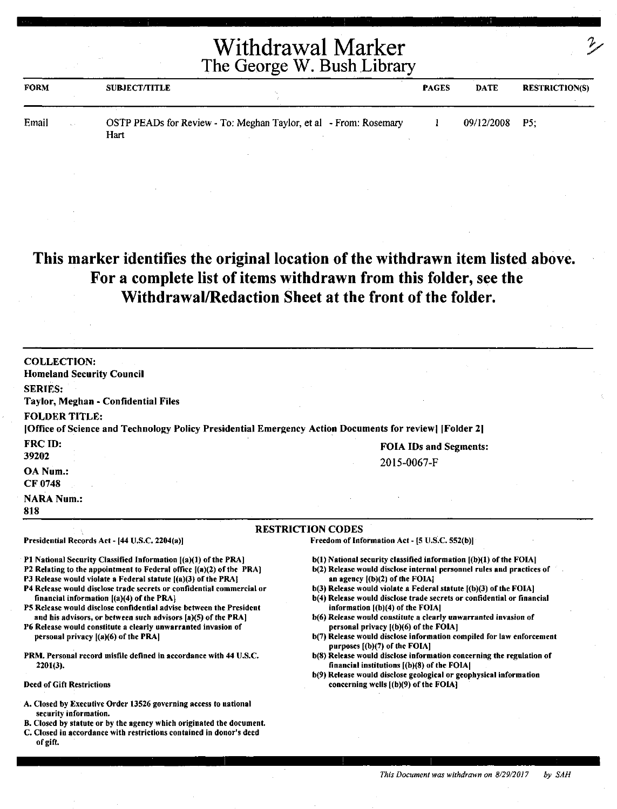| <b>FORM</b>                            | <b>SUBJECT/TITLE</b> |                                                                   | <b>PAGES</b> | DATE       | <b>RESTRICTION(S)</b> |
|----------------------------------------|----------------------|-------------------------------------------------------------------|--------------|------------|-----------------------|
| Email<br>$\tau_{\rm eq} \rightarrow 0$ | Hart                 | OSTP PEADs for Review - To: Meghan Taylor, et al - From: Rosemary |              | 09/12/2008 | P5:                   |

#### **This marker identifies the original location of the withdrawn item listed above. For a complete list of items withdrawn from this folder, see the Withdrawal/Redaction Sheet at the front of the folder.**

| <b>COLLECTION:</b><br><b>Homeland Security Council</b>                                                                                 |                                                                                                                    |
|----------------------------------------------------------------------------------------------------------------------------------------|--------------------------------------------------------------------------------------------------------------------|
| <b>SERIES:</b>                                                                                                                         |                                                                                                                    |
| Taylor, Meghan - Confidential Files                                                                                                    |                                                                                                                    |
| <b>FOLDER TITLE:</b>                                                                                                                   |                                                                                                                    |
| [Office of Science and Technology Policy Presidential Emergency Action Documents for review] [Folder 2]                                |                                                                                                                    |
| <b>FRC ID:</b>                                                                                                                         | <b>FOIA IDs and Segments:</b>                                                                                      |
| 39202                                                                                                                                  |                                                                                                                    |
| OA Num.:                                                                                                                               | 2015-0067-F                                                                                                        |
| <b>CF 0748</b>                                                                                                                         |                                                                                                                    |
| <b>NARA Num.:</b>                                                                                                                      |                                                                                                                    |
| 818                                                                                                                                    |                                                                                                                    |
|                                                                                                                                        | <b>RESTRICTION CODES</b>                                                                                           |
| Presidential Records Act - [44 U.S.C. 2204(a)]                                                                                         | Freedom of Information Act - [5 U.S.C. 552(b)]                                                                     |
|                                                                                                                                        |                                                                                                                    |
| P1 National Security Classified Information [(a)(1) of the PRA]                                                                        | b(1) National security classified information [(b)(1) of the FOIA]                                                 |
| P2 Relating to the appointment to Federal office [(a)(2) of the PRA]<br>P3 Release would violate a Federal statute [(a)(3) of the PRA] | b(2) Release would disclose internal personnel rules and practices of<br>an agency $($ (b $)(2)$ ) of the FOIA $[$ |
| P4 Release would disclose trade secrets or confidential commercial or                                                                  | b(3) Release would violate a Federal statute [(b)(3) of the FOIA]                                                  |
| financial information $[(a)(4)$ of the PRA]                                                                                            | b(4) Release would disclose trade secrets or confidential or financial                                             |
| P5 Release would disclose confidential advise between the President                                                                    | information [(b)(4) of the FOIA]                                                                                   |
| and his advisors, or between such advisors [a](5) of the PRA]                                                                          | b(6) Release would constitute a clearly unwarranted invasion of                                                    |
| P6 Release would constitute a clearly unwarranted invasion of                                                                          | personal privacy ((b)(6) of the FOIA]                                                                              |
| personal privacy $[(a)(6)$ of the PRA                                                                                                  | b(7) Release would disclose information compiled for law enforcement<br>purposes [(b)(7) of the FOIA]              |
| PRM. Personal record misfile defined in accordance with 44 U.S.C.                                                                      | b(8) Release would disclose information concerning the regulation of                                               |
| $2201(3)$ .                                                                                                                            | financial institutions $($ (b) $($ 8 $)$ of the FOIA $ $                                                           |
|                                                                                                                                        | b(9) Release would disclose geological or geophysical information                                                  |
| <b>Deed of Gift Restrictions</b>                                                                                                       | concerning wells [(b)(9) of the FOIA]                                                                              |
| A. Closed by Executive Order 13526 governing access to national                                                                        |                                                                                                                    |
| security information.                                                                                                                  |                                                                                                                    |
| B. Closed by statute or by the agency which originated the document.                                                                   |                                                                                                                    |
| C. Closed in accordance with restrictions contained in donor's deed<br>of gift.                                                        |                                                                                                                    |
|                                                                                                                                        |                                                                                                                    |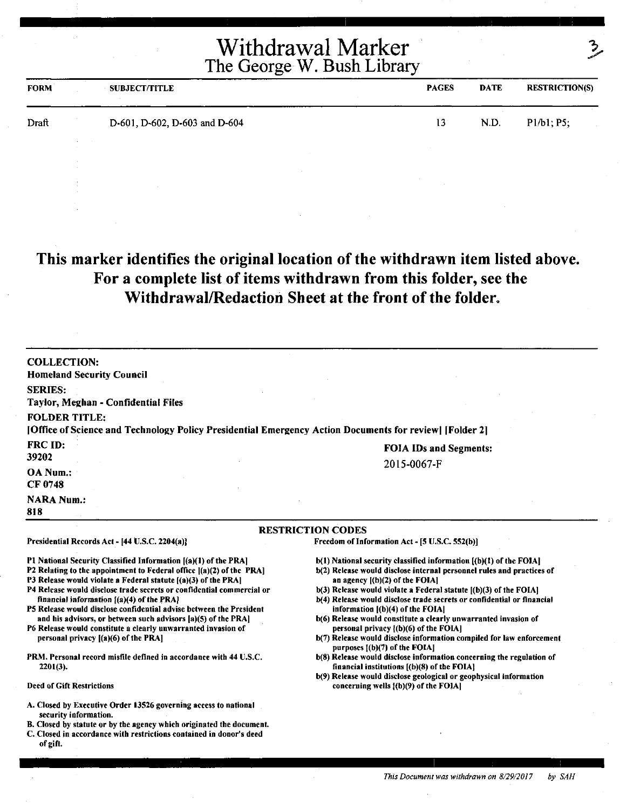|             | Withdrawal Marker<br>The George W. Bush Library |              | 2    |                       |
|-------------|-------------------------------------------------|--------------|------|-----------------------|
| <b>FORM</b> | <b>SUBJECT/TITLE</b>                            | <b>PAGES</b> | DATE | <b>RESTRICTION(S)</b> |
| Draft       | D-601, D-602, D-603 and D-604                   | 13           | N.D. | P1/b1; P5;            |

#### **This marker identifies the original location of the withdrawn item listed above. For a complete list of items withdrawn from this folder, see the Withdrawal/Redaction Sheet at the front of the folder.**

| <b>COLLECTION:</b><br><b>Homeland Security Council</b>                                                                                                                                                                                                                                                                                                                                                                                                                                                                                                                                                                                                                                                            |                                                                                                                                                                                                                                                                                                                                                                                                                                                                                                                                                                                                                                                                                                                                                                                                                                   |
|-------------------------------------------------------------------------------------------------------------------------------------------------------------------------------------------------------------------------------------------------------------------------------------------------------------------------------------------------------------------------------------------------------------------------------------------------------------------------------------------------------------------------------------------------------------------------------------------------------------------------------------------------------------------------------------------------------------------|-----------------------------------------------------------------------------------------------------------------------------------------------------------------------------------------------------------------------------------------------------------------------------------------------------------------------------------------------------------------------------------------------------------------------------------------------------------------------------------------------------------------------------------------------------------------------------------------------------------------------------------------------------------------------------------------------------------------------------------------------------------------------------------------------------------------------------------|
| <b>SERIES:</b><br>Taylor, Meghan - Confidential Files                                                                                                                                                                                                                                                                                                                                                                                                                                                                                                                                                                                                                                                             |                                                                                                                                                                                                                                                                                                                                                                                                                                                                                                                                                                                                                                                                                                                                                                                                                                   |
| <b>FOLDER TITLE:</b><br>[Office of Science and Technology Policy Presidential Emergency Action Documents for review] [Folder 2]                                                                                                                                                                                                                                                                                                                                                                                                                                                                                                                                                                                   |                                                                                                                                                                                                                                                                                                                                                                                                                                                                                                                                                                                                                                                                                                                                                                                                                                   |
| <b>FRC ID:</b>                                                                                                                                                                                                                                                                                                                                                                                                                                                                                                                                                                                                                                                                                                    | <b>FOIA IDs and Segments:</b>                                                                                                                                                                                                                                                                                                                                                                                                                                                                                                                                                                                                                                                                                                                                                                                                     |
| 39202<br>OA Num.:<br>CF 0748                                                                                                                                                                                                                                                                                                                                                                                                                                                                                                                                                                                                                                                                                      | 2015-0067-F                                                                                                                                                                                                                                                                                                                                                                                                                                                                                                                                                                                                                                                                                                                                                                                                                       |
| <b>NARA Num.:</b><br>818                                                                                                                                                                                                                                                                                                                                                                                                                                                                                                                                                                                                                                                                                          |                                                                                                                                                                                                                                                                                                                                                                                                                                                                                                                                                                                                                                                                                                                                                                                                                                   |
|                                                                                                                                                                                                                                                                                                                                                                                                                                                                                                                                                                                                                                                                                                                   | <b>RESTRICTION CODES</b>                                                                                                                                                                                                                                                                                                                                                                                                                                                                                                                                                                                                                                                                                                                                                                                                          |
| Presidential Records Act - [44 U.S.C. 2204(a)]                                                                                                                                                                                                                                                                                                                                                                                                                                                                                                                                                                                                                                                                    | Freedom of Information Act - [5 U.S.C. 552(b)]                                                                                                                                                                                                                                                                                                                                                                                                                                                                                                                                                                                                                                                                                                                                                                                    |
| P1 National Security Classified Information [(a)(1) of the PRA]<br>P2 Relating to the appointment to Federal office [(a)(2) of the PRA]<br>P3 Release would violate a Federal statute [(a)(3) of the PRA]<br>P4 Release would disclose trade secrets or confidential commercial or<br>financial information $(2)(4)$ of the PRA<br>P5 Release would disclose confidential advise between the President<br>and his advisors, or between such advisors [a](5) of the PRA]<br>P6 Release would constitute a clearly unwarranted invasion of<br>personal privacy $[(a)(6)$ of the PRA]<br><b>PRM. Personal record misfile defined in accordance with 44 U.S.C.</b><br>$2201(3)$ .<br><b>Deed of Gift Restrictions</b> | $b(1)$ National security classified information $(a)(1)$ of the FOIA<br>b(2) Release would disclose internal personnel rules and practices of<br>an agency $[(b)(2)$ of the FOIA]<br>b(3) Release would violate a Federal statute [(b)(3) of the FOIA]<br>b(4) Release would disclose trade secrets or confidential or financial<br>information $[(b)(4)$ of the FOIA]<br>b(6) Release would constitute a clearly unwarranted invasion of<br>personal privacy $(6)(6)$ of the FOIA]<br>b(7) Release would disclose information compiled for law enforcement<br>purposes [(b)(7) of the FOIA]<br>b(8) Release would disclose information concerning the regulation of<br>financial institutions [(b)(8) of the FOIA]<br>b(9) Release would disclose geological or geophysical information<br>concerning wells [(b)(9) of the FOIA] |
| A. Closed by Executive Order 13526 governing access to national<br>security information.<br>B. Closed by statute or by the agency which originated the document.<br>C. Closed in accordance with restrictions contained in donor's deed<br>of gift.                                                                                                                                                                                                                                                                                                                                                                                                                                                               |                                                                                                                                                                                                                                                                                                                                                                                                                                                                                                                                                                                                                                                                                                                                                                                                                                   |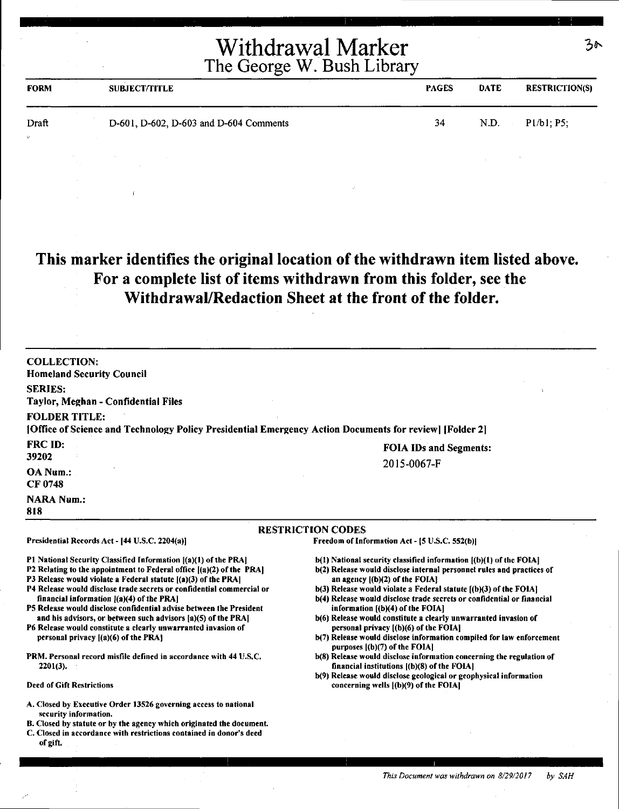| <b>FORM</b>       | <b>SUBJECT/TITLE</b>                   | <b>PAGES</b> | <b>DATE</b>    | <b>RESTRICTION(S)</b> |
|-------------------|----------------------------------------|--------------|----------------|-----------------------|
| Draft<br>$\omega$ | D-601, D-602, D-603 and D-604 Comments | 34           | N.D.<br>$\sim$ | P1/b1; P5;            |
|                   |                                        |              |                |                       |

#### **This marker identifies the original location of the withdrawn item listed above. For a complete list of items withdrawn from this folder, see the Withdrawal/Redaction Sheet at the front of the folder.**

| <b>COLLECTION:</b><br><b>Homeland Security Council</b>                                                                                                                                                                                                                |                                                                                                                                                                                                                                                                                                                                                                                                                                                         |  |
|-----------------------------------------------------------------------------------------------------------------------------------------------------------------------------------------------------------------------------------------------------------------------|---------------------------------------------------------------------------------------------------------------------------------------------------------------------------------------------------------------------------------------------------------------------------------------------------------------------------------------------------------------------------------------------------------------------------------------------------------|--|
| <b>SERIES:</b>                                                                                                                                                                                                                                                        |                                                                                                                                                                                                                                                                                                                                                                                                                                                         |  |
| Taylor, Meghan - Confidential Files                                                                                                                                                                                                                                   |                                                                                                                                                                                                                                                                                                                                                                                                                                                         |  |
| <b>FOLDER TITLE:</b>                                                                                                                                                                                                                                                  |                                                                                                                                                                                                                                                                                                                                                                                                                                                         |  |
| [Office of Science and Technology Policy Presidential Emergency Action Documents for review] [Folder 2]                                                                                                                                                               |                                                                                                                                                                                                                                                                                                                                                                                                                                                         |  |
|                                                                                                                                                                                                                                                                       |                                                                                                                                                                                                                                                                                                                                                                                                                                                         |  |
| <b>FRC ID:</b>                                                                                                                                                                                                                                                        | <b>FOIA IDs and Segments:</b>                                                                                                                                                                                                                                                                                                                                                                                                                           |  |
| 39202                                                                                                                                                                                                                                                                 | 2015-0067-F                                                                                                                                                                                                                                                                                                                                                                                                                                             |  |
| OA Num.:                                                                                                                                                                                                                                                              |                                                                                                                                                                                                                                                                                                                                                                                                                                                         |  |
| <b>CF 0748</b>                                                                                                                                                                                                                                                        |                                                                                                                                                                                                                                                                                                                                                                                                                                                         |  |
| <b>NARA Num.:</b><br>818                                                                                                                                                                                                                                              |                                                                                                                                                                                                                                                                                                                                                                                                                                                         |  |
|                                                                                                                                                                                                                                                                       |                                                                                                                                                                                                                                                                                                                                                                                                                                                         |  |
|                                                                                                                                                                                                                                                                       | <b>RESTRICTION CODES</b>                                                                                                                                                                                                                                                                                                                                                                                                                                |  |
| Presidential Records Act - [44 U.S.C. 2204(a)]                                                                                                                                                                                                                        | Freedom of Information Act - [5 U.S.C. 552(b)]                                                                                                                                                                                                                                                                                                                                                                                                          |  |
| P1 National Security Classified Information [(a)(1) of the PRA]                                                                                                                                                                                                       | b(1) National security classified information [(b)(1) of the FOIA]                                                                                                                                                                                                                                                                                                                                                                                      |  |
| P2 Relating to the appointment to Federal office [(a)(2) of the PRA]                                                                                                                                                                                                  | b(2) Release would disclose internal personnel rules and practices of                                                                                                                                                                                                                                                                                                                                                                                   |  |
| P3 Release would violate a Federal statute $[(a)(3)$ of the PRA]                                                                                                                                                                                                      | an agency $[(b)(2)$ of the FOIA]                                                                                                                                                                                                                                                                                                                                                                                                                        |  |
| P4 Release would disclose trade secrets or confidential commercial or                                                                                                                                                                                                 | b(3) Release would violate a Federal statute [(b)(3) of the FOIA]                                                                                                                                                                                                                                                                                                                                                                                       |  |
|                                                                                                                                                                                                                                                                       |                                                                                                                                                                                                                                                                                                                                                                                                                                                         |  |
|                                                                                                                                                                                                                                                                       |                                                                                                                                                                                                                                                                                                                                                                                                                                                         |  |
| P6 Release would constitute a clearly unwarranted invasion of                                                                                                                                                                                                         |                                                                                                                                                                                                                                                                                                                                                                                                                                                         |  |
| personal privacy $[(a)(6)$ of the PRA]                                                                                                                                                                                                                                | b(7) Release would disclose information compiled for law enforcement                                                                                                                                                                                                                                                                                                                                                                                    |  |
|                                                                                                                                                                                                                                                                       |                                                                                                                                                                                                                                                                                                                                                                                                                                                         |  |
|                                                                                                                                                                                                                                                                       |                                                                                                                                                                                                                                                                                                                                                                                                                                                         |  |
|                                                                                                                                                                                                                                                                       |                                                                                                                                                                                                                                                                                                                                                                                                                                                         |  |
| <b>Deed of Gift Restrictions</b>                                                                                                                                                                                                                                      | concerning wells [(b)(9) of the FOIA]                                                                                                                                                                                                                                                                                                                                                                                                                   |  |
| A. Closed by Executive Order 13526 governing access to national<br>security information.<br>B. Closed by statute or by the agency which originated the document.<br>C. Closed in accordance with restrictions contained in donor's deed<br>of gift.                   |                                                                                                                                                                                                                                                                                                                                                                                                                                                         |  |
| financial information [(a)(4) of the PRA]<br>P5 Release would disclose confidential advise between the President<br>and his advisors, or between such advisors [a](5) of the PRA]<br>PRM. Personal record misfile defined in accordance with 44 U.S.C.<br>$2201(3)$ . | b(4) Release would disclose trade secrets or confidential or financial<br>information $[(b)(4)$ of the FOIA]<br>b(6) Release would constitute a clearly unwarranted invasion of<br>personal privacy [(b)(6) of the FOIA]<br>purposes $(a)(7)$ of the FOIA<br>b(8) Release would disclose information concerning the regulation of<br>financial institutions $[(b)(8)$ of the FOIA]<br>b(9) Release would disclose geological or geophysical information |  |

 $30$